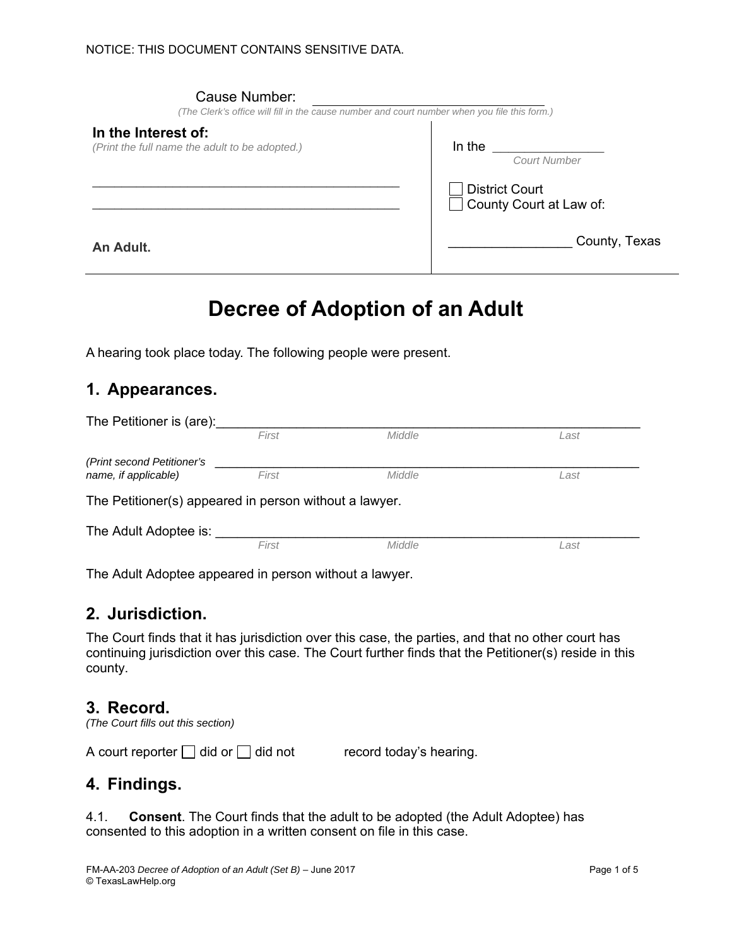| Cause Number:<br>(The Clerk's office will fill in the cause number and court number when you file this form.) |                                                  |
|---------------------------------------------------------------------------------------------------------------|--------------------------------------------------|
| In the Interest of:<br>(Print the full name the adult to be adopted.)                                         | In the<br><b>Court Number</b>                    |
|                                                                                                               | <b>District Court</b><br>County Court at Law of: |
| An Adult.                                                                                                     | County, Texas                                    |

# **Decree of Adoption of an Adult**

A hearing took place today. The following people were present.

# **1. Appearances.**

| The Petitioner is (are):                               |       |        |      |  |  |  |  |
|--------------------------------------------------------|-------|--------|------|--|--|--|--|
|                                                        | First | Middle | Last |  |  |  |  |
| (Print second Petitioner's                             |       |        |      |  |  |  |  |
| name, if applicable)                                   | First | Middle | Last |  |  |  |  |
| The Petitioner(s) appeared in person without a lawyer. |       |        |      |  |  |  |  |
| The Adult Adoptee is:                                  |       |        |      |  |  |  |  |
|                                                        | First | Middle | Last |  |  |  |  |

The Adult Adoptee appeared in person without a lawyer.

## **2. Jurisdiction.**

The Court finds that it has jurisdiction over this case, the parties, and that no other court has continuing jurisdiction over this case. The Court further finds that the Petitioner(s) reside in this county.

#### **3. Record.**

*(The Court fills out this section)* 

A court reporter  $\Box$  did or  $\Box$  did not record today's hearing.

## **4. Findings.**

4.1. **Consent**. The Court finds that the adult to be adopted (the Adult Adoptee) has consented to this adoption in a written consent on file in this case.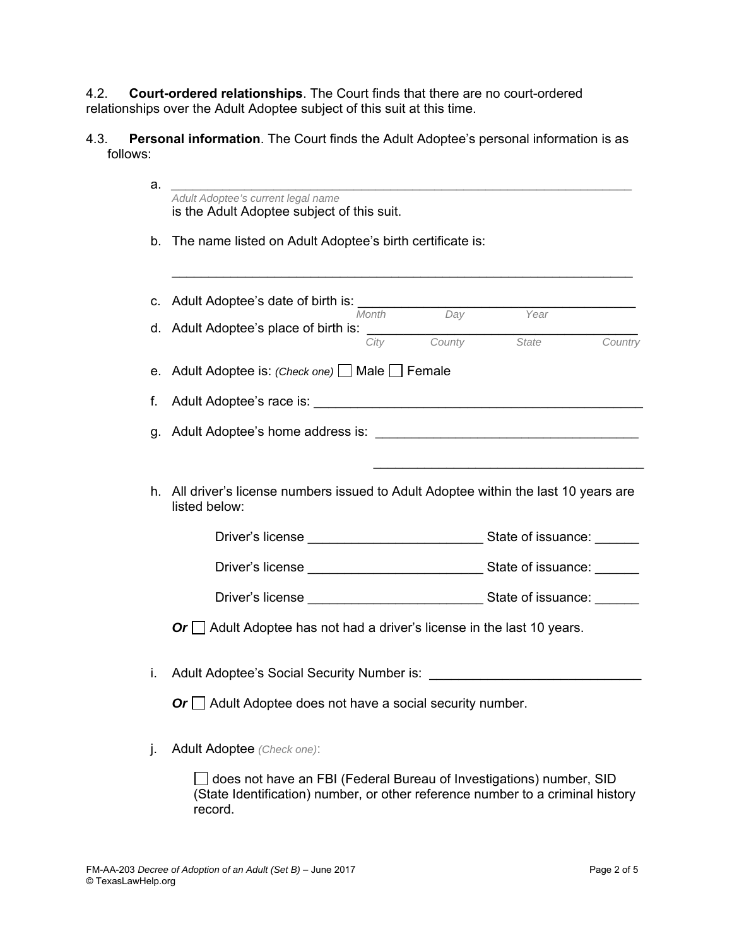4.2. **Court-ordered relationships**. The Court finds that there are no court-ordered relationships over the Adult Adoptee subject of this suit at this time.

4.3. **Personal information**. The Court finds the Adult Adoptee's personal information is as follows:

| a. | Adult Adoptee's current legal name                                                             |
|----|------------------------------------------------------------------------------------------------|
|    | is the Adult Adoptee subject of this suit.                                                     |
| b. | The name listed on Adult Adoptee's birth certificate is:                                       |
|    |                                                                                                |
| c. | Adult Adoptee's date of birth is: ____                                                         |
|    | Day<br>Month<br>Year<br>d. Adult Adoptee's place of birth is: $\frac{City}{City}$ County State |
|    | Country                                                                                        |
| е. | Adult Adoptee is: (Check one) Male Female                                                      |
| f. |                                                                                                |
| g. |                                                                                                |
|    |                                                                                                |
|    | h. All driver's license numbers issued to Adult Adoptee within the last 10 years are           |
|    | listed below:                                                                                  |
|    |                                                                                                |
|    |                                                                                                |
|    |                                                                                                |
|    | Or $\Box$ Adult Adoptee has not had a driver's license in the last 10 years.                   |
|    |                                                                                                |
| i. | Adult Adoptee's Social Security Number is: Andrew March 2014                                   |
|    | Or $\Box$ Adult Adoptee does not have a social security number.                                |
|    |                                                                                                |

j. Adult Adoptee *(Check one)*:

□ does not have an FBI (Federal Bureau of Investigations) number, SID (State Identification) number, or other reference number to a criminal history record.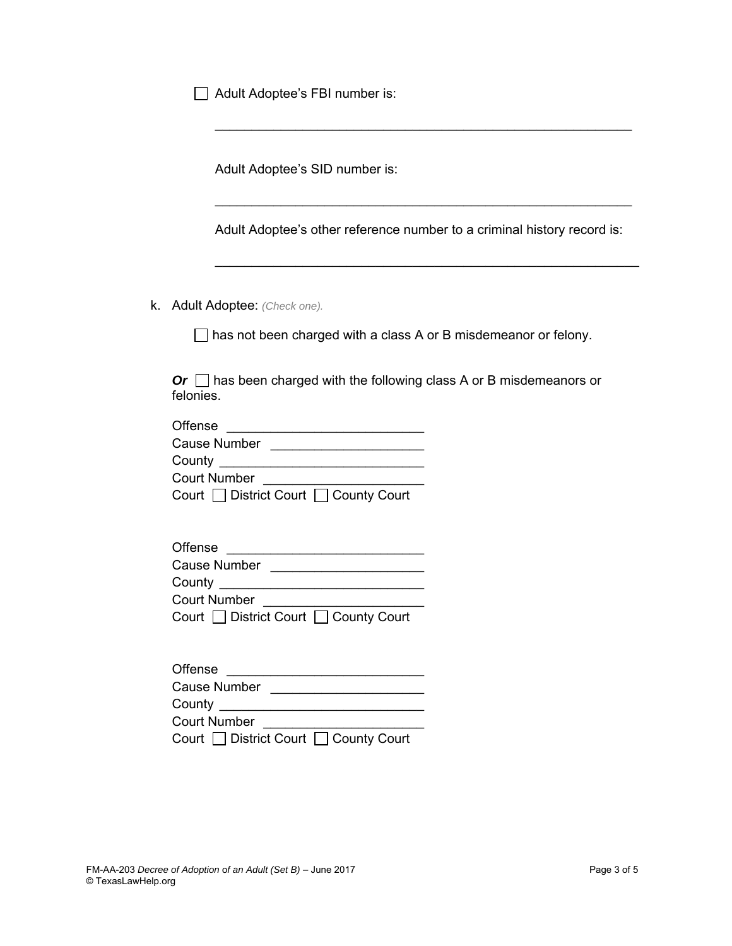Adult Adoptee's FBI number is:

Adult Adoptee's SID number is:

Adult Adoptee's other reference number to a criminal history record is:

 $\mathcal{L}_\text{max} = \frac{1}{2} \sum_{i=1}^n \frac{1}{2} \sum_{i=1}^n \frac{1}{2} \sum_{i=1}^n \frac{1}{2} \sum_{i=1}^n \frac{1}{2} \sum_{i=1}^n \frac{1}{2} \sum_{i=1}^n \frac{1}{2} \sum_{i=1}^n \frac{1}{2} \sum_{i=1}^n \frac{1}{2} \sum_{i=1}^n \frac{1}{2} \sum_{i=1}^n \frac{1}{2} \sum_{i=1}^n \frac{1}{2} \sum_{i=1}^n \frac{1}{2} \sum_{i=1}^n$ 

 $\mathcal{L}_\text{max} = \frac{1}{2} \sum_{i=1}^{n} \frac{1}{2} \sum_{i=1}^{n} \frac{1}{2} \sum_{i=1}^{n} \frac{1}{2} \sum_{i=1}^{n} \frac{1}{2} \sum_{i=1}^{n} \frac{1}{2} \sum_{i=1}^{n} \frac{1}{2} \sum_{i=1}^{n} \frac{1}{2} \sum_{i=1}^{n} \frac{1}{2} \sum_{i=1}^{n} \frac{1}{2} \sum_{i=1}^{n} \frac{1}{2} \sum_{i=1}^{n} \frac{1}{2} \sum_{i=1}^{n} \frac{1$ 

k. Adult Adoptee: *(Check one).*

 $\Box$  has not been charged with a class A or B misdemeanor or felony.

*Or* □ has been charged with the following class A or B misdemeanors or felonies.

| Offense                               |
|---------------------------------------|
| Cause Number                          |
| County                                |
| <b>Court Number</b>                   |
| Court □ District Court □ County Court |

| Offense                               |
|---------------------------------------|
| Cause Number                          |
| County                                |
| <b>Court Number</b>                   |
| Court □ District Court □ County Court |

| Offense                               |
|---------------------------------------|
| Cause Number                          |
| County                                |
| <b>Court Number</b>                   |
| Court □ District Court □ County Court |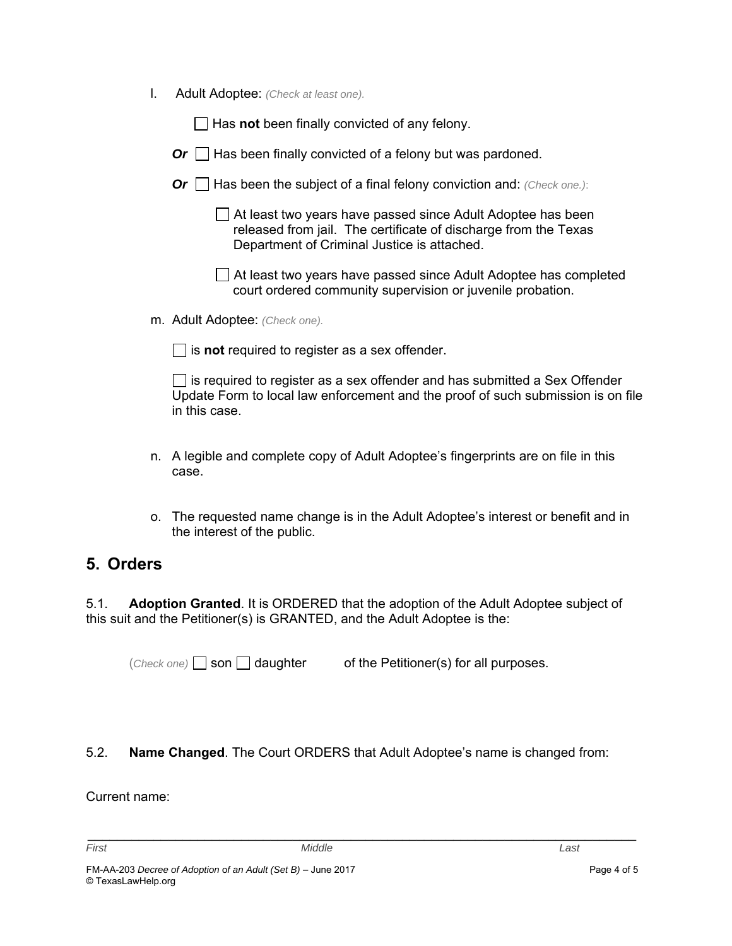l. Adult Adoptee: *(Check at least one).*

□ Has **not** been finally convicted of any felony.

- $Or \Box$  Has been finally convicted of a felony but was pardoned.
- *Or*  $\Box$  Has been the subject of a final felony conviction and: *(Check one.)*:

 At least two years have passed since Adult Adoptee has been released from jail. The certificate of discharge from the Texas Department of Criminal Justice is attached.

 At least two years have passed since Adult Adoptee has completed court ordered community supervision or juvenile probation.

m. Adult Adoptee: *(Check one).* 

 $\Box$  is **not** required to register as a sex offender.

 $\Box$  is required to register as a sex offender and has submitted a Sex Offender Update Form to local law enforcement and the proof of such submission is on file in this case.

- n. A legible and complete copy of Adult Adoptee's fingerprints are on file in this case.
- o. The requested name change is in the Adult Adoptee's interest or benefit and in the interest of the public.

# **5. Orders**

5.1. **Adoption Granted**. It is ORDERED that the adoption of the Adult Adoptee subject of this suit and the Petitioner(s) is GRANTED, and the Adult Adoptee is the:

 $(Check one)$  son daughter of the Petitioner(s) for all purposes.

#### 5.2. **Name Changed**. The Court ORDERS that Adult Adoptee's name is changed from:

\_\_\_\_\_\_\_\_\_\_\_\_\_\_\_\_\_\_\_\_\_\_\_\_\_\_\_\_\_\_\_\_\_\_\_\_\_\_\_\_\_\_\_\_\_\_\_\_\_\_\_\_\_\_\_\_\_\_\_\_\_\_\_\_\_\_\_\_\_\_\_\_\_\_\_

Current name: